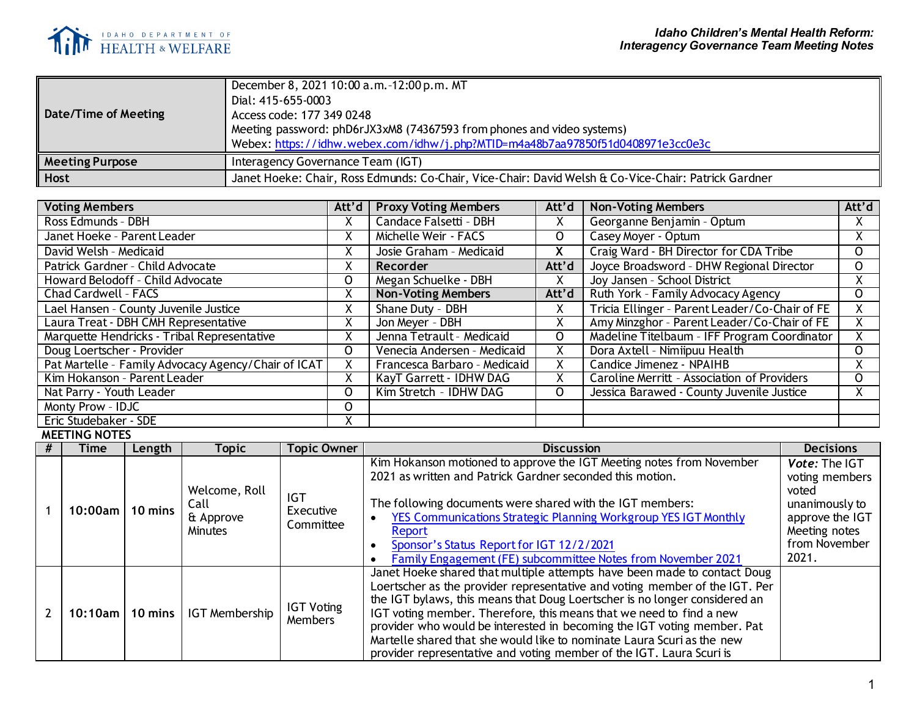

| December 8, 2021 10:00 a.m. -12:00 p.m. MT<br>Dial: 415-655-0003<br>Access code: 177 349 0248<br>Meeting password: phD6rJX3xM8 (74367593 from phones and video systems)<br>Webex: https://idhw.webex.com/idhw/j.php?MTID=m4a48b7aa97850f51d0408971e3cc0e3c |  |  |  |  |  |
|------------------------------------------------------------------------------------------------------------------------------------------------------------------------------------------------------------------------------------------------------------|--|--|--|--|--|
| Interagency Governance Team (IGT)                                                                                                                                                                                                                          |  |  |  |  |  |
| Janet Hoeke: Chair, Ross Edmunds: Co-Chair, Vice-Chair: David Welsh & Co-Vice-Chair: Patrick Gardner                                                                                                                                                       |  |  |  |  |  |
|                                                                                                                                                                                                                                                            |  |  |  |  |  |

| <b>Voting Members</b>                               | Att'd | <b>Proxy Voting Members</b>  | Att'd        | <b>Non-Voting Members</b>                      | Att'd        |
|-----------------------------------------------------|-------|------------------------------|--------------|------------------------------------------------|--------------|
| Ross Edmunds - DBH                                  |       | Candace Falsetti - DBH       | X            | Georganne Benjamin - Optum                     | X.           |
| Janet Hoeke - Parent Leader                         |       | Michelle Weir - FACS         | $\mathsf{O}$ | Casey Moyer - Optum                            | X.           |
| David Welsh - Medicaid                              |       | Josie Graham - Medicaid      | X.           | Craig Ward - BH Director for CDA Tribe         | $\mathsf{O}$ |
| Patrick Gardner - Child Advocate                    | X     | Recorder                     | Att'd        | Joyce Broadsword - DHW Regional Director       | 0            |
| Howard Belodoff - Child Advocate                    | 0     | Megan Schuelke - DBH         | X            | Joy Jansen - School District                   | X.           |
| Chad Cardwell - FACS                                | X     | <b>Non-Voting Members</b>    | Att'd        | Ruth York - Family Advocacy Agency             | $\mathsf{O}$ |
| Lael Hansen - County Juvenile Justice               | Χ     | Shane Duty - DBH             | X            | Tricia Ellinger - Parent Leader/Co-Chair of FE | X.           |
| Laura Treat - DBH CMH Representative                |       | Jon Meyer - DBH              | X            | Amy Minzghor - Parent Leader/Co-Chair of FE    |              |
| Marquette Hendricks - Tribal Representative         |       | Jenna Tetrault - Medicaid    | 0            | Madeline Titelbaum - IFF Program Coordinator   | X.           |
| Doug Loertscher - Provider                          | O     | Venecia Andersen - Medicaid  | X            | Dora Axtell - Nimiipuu Health                  | $\mathsf{O}$ |
| Pat Martelle - Family Advocacy Agency/Chair of ICAT |       | Francesca Barbaro - Medicaid | x            | Candice Jimenez - NPAIHB                       | X.           |
| Kim Hokanson - Parent Leader                        |       | KayT Garrett - IDHW DAG      | χ            | Caroline Merritt - Association of Providers    | $\Omega$     |
| Nat Parry - Youth Leader                            | 0     | Kim Stretch - IDHW DAG       | O            | Jessica Barawed - County Juvenile Justice      | X.           |
| Monty Prow - IDJC                                   | O     |                              |              |                                                |              |
| Eric Studebaker - SDE                               |       |                              |              |                                                |              |

**MEETING NOTES**

| Time                    | Length            | Topic                                                | Topic Owner                          | <b>Discussion</b>                                                                                                                                                                                                                                                                                                                                                                                                                                                                                                                         | <b>Decisions</b>                                                                                                         |
|-------------------------|-------------------|------------------------------------------------------|--------------------------------------|-------------------------------------------------------------------------------------------------------------------------------------------------------------------------------------------------------------------------------------------------------------------------------------------------------------------------------------------------------------------------------------------------------------------------------------------------------------------------------------------------------------------------------------------|--------------------------------------------------------------------------------------------------------------------------|
| 10:00am l               | $10 \text{ mins}$ | Welcome, Roll<br>Call<br>& Approve<br><b>Minutes</b> | <b>IGT</b><br>Executive<br>Committee | Kim Hokanson motioned to approve the IGT Meeting notes from November<br>2021 as written and Patrick Gardner seconded this motion.<br>The following documents were shared with the IGT members:<br>YES Communications Strategic Planning Workgroup YES IGT Monthly<br>Report<br>Sponsor's Status Report for IGT 12/2/2021<br>Family Engagement (FE) subcommittee Notes from November 2021                                                                                                                                                  | Vote: The IGT<br>voting members<br>voted<br>unanimously to<br>approve the IGT<br>Meeting notes<br>from November<br>2021. |
| $10:10$ am $\mathsf{l}$ |                   | 10 mins   IGT Membership                             | <b>IGT Voting</b><br>Members         | Janet Hoeke shared that multiple attempts have been made to contact Doug<br>Loertscher as the provider representative and voting member of the IGT. Per<br>the IGT bylaws, this means that Doug Loertscher is no longer considered an<br>IGT voting member. Therefore, this means that we need to find a new<br>provider who would be interested in becoming the IGT voting member. Pat<br>Martelle shared that she would like to nominate Laura Scuri as the new<br>provider representative and voting member of the IGT. Laura Scuri is |                                                                                                                          |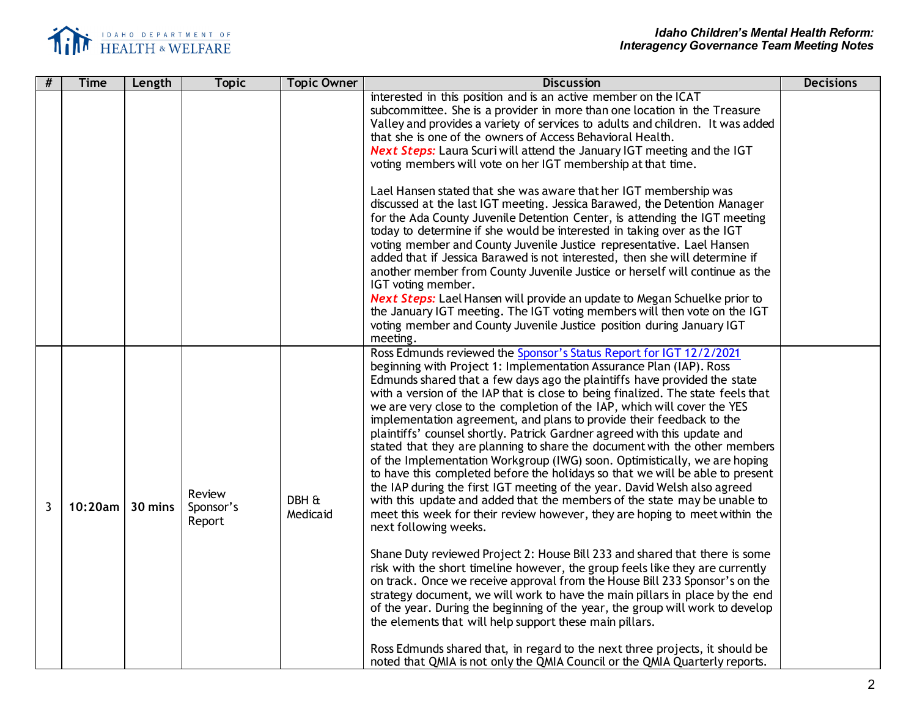

| #              | <b>Time</b> | Length  | <b>Topic</b>                  | <b>Topic Owner</b> | <b>Discussion</b>                                                                                                                                                                                                                                                                                                                                                                                                                                                                                                                                                                                                                                                                                                                                                                                                                                                                                                                                                                                                                                                                                                                                                                                                                                                                                                                                                                                                                                                                                                                                                                                                                                                                                   | <b>Decisions</b> |
|----------------|-------------|---------|-------------------------------|--------------------|-----------------------------------------------------------------------------------------------------------------------------------------------------------------------------------------------------------------------------------------------------------------------------------------------------------------------------------------------------------------------------------------------------------------------------------------------------------------------------------------------------------------------------------------------------------------------------------------------------------------------------------------------------------------------------------------------------------------------------------------------------------------------------------------------------------------------------------------------------------------------------------------------------------------------------------------------------------------------------------------------------------------------------------------------------------------------------------------------------------------------------------------------------------------------------------------------------------------------------------------------------------------------------------------------------------------------------------------------------------------------------------------------------------------------------------------------------------------------------------------------------------------------------------------------------------------------------------------------------------------------------------------------------------------------------------------------------|------------------|
|                |             |         |                               |                    | interested in this position and is an active member on the ICAT<br>subcommittee. She is a provider in more than one location in the Treasure<br>Valley and provides a variety of services to adults and children. It was added<br>that she is one of the owners of Access Behavioral Health.<br><b>Next Steps:</b> Laura Scuri will attend the January IGT meeting and the IGT<br>voting members will vote on her IGT membership at that time.<br>Lael Hansen stated that she was aware that her IGT membership was<br>discussed at the last IGT meeting. Jessica Barawed, the Detention Manager<br>for the Ada County Juvenile Detention Center, is attending the IGT meeting<br>today to determine if she would be interested in taking over as the IGT<br>voting member and County Juvenile Justice representative. Lael Hansen<br>added that if Jessica Barawed is not interested, then she will determine if<br>another member from County Juvenile Justice or herself will continue as the                                                                                                                                                                                                                                                                                                                                                                                                                                                                                                                                                                                                                                                                                                    |                  |
|                |             |         |                               |                    | IGT voting member.<br>Next Steps: Lael Hansen will provide an update to Megan Schuelke prior to<br>the January IGT meeting. The IGT voting members will then vote on the IGT<br>voting member and County Juvenile Justice position during January IGT<br>meeting.                                                                                                                                                                                                                                                                                                                                                                                                                                                                                                                                                                                                                                                                                                                                                                                                                                                                                                                                                                                                                                                                                                                                                                                                                                                                                                                                                                                                                                   |                  |
| $\overline{3}$ | 10:20am l   | 30 mins | Review<br>Sponsor's<br>Report | DBH &<br>Medicaid  | Ross Edmunds reviewed the Sponsor's Status Report for IGT 12/2/2021<br>beginning with Project 1: Implementation Assurance Plan (IAP). Ross<br>Edmunds shared that a few days ago the plaintiffs have provided the state<br>with a version of the IAP that is close to being finalized. The state feels that<br>we are very close to the completion of the IAP, which will cover the YES<br>implementation agreement, and plans to provide their feedback to the<br>plaintiffs' counsel shortly. Patrick Gardner agreed with this update and<br>stated that they are planning to share the document with the other members<br>of the Implementation Workgroup (IWG) soon. Optimistically, we are hoping<br>to have this completed before the holidays so that we will be able to present<br>the IAP during the first IGT meeting of the year. David Welsh also agreed<br>with this update and added that the members of the state may be unable to<br>meet this week for their review however, they are hoping to meet within the<br>next following weeks.<br>Shane Duty reviewed Project 2: House Bill 233 and shared that there is some<br>risk with the short timeline however, the group feels like they are currently<br>on track. Once we receive approval from the House Bill 233 Sponsor's on the<br>strategy document, we will work to have the main pillars in place by the end<br>of the year. During the beginning of the year, the group will work to develop<br>the elements that will help support these main pillars.<br>Ross Edmunds shared that, in regard to the next three projects, it should be<br>noted that QMIA is not only the QMIA Council or the QMIA Quarterly reports. |                  |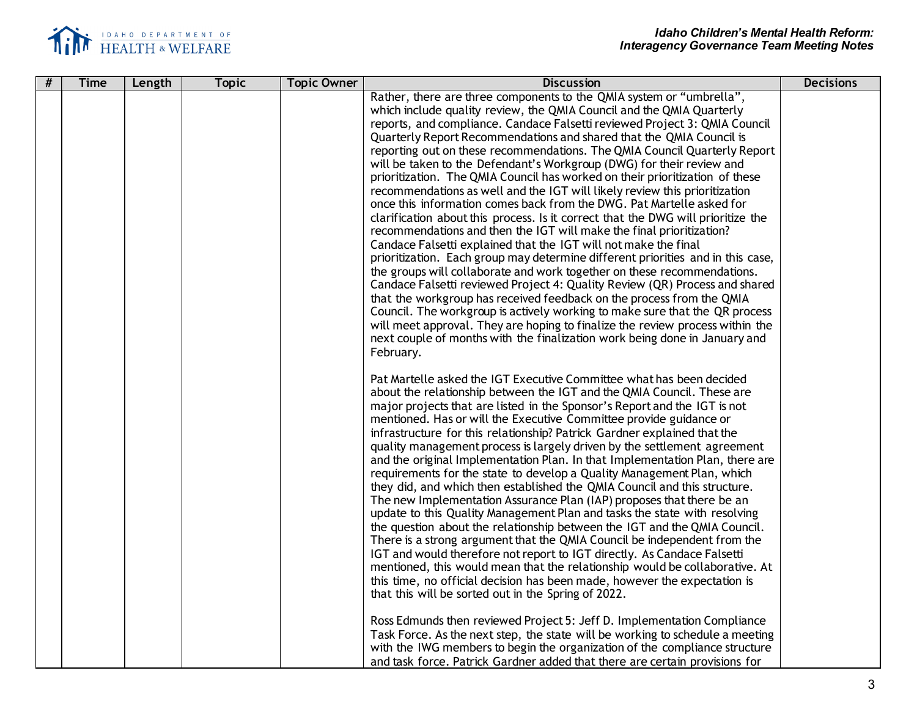

| # | <b>Time</b> | Length | <b>Topic</b> | <b>Topic Owner</b> | <b>Discussion</b>                                                                | <b>Decisions</b> |
|---|-------------|--------|--------------|--------------------|----------------------------------------------------------------------------------|------------------|
|   |             |        |              |                    | Rather, there are three components to the QMIA system or "umbrella",             |                  |
|   |             |        |              |                    | which include quality review, the QMIA Council and the QMIA Quarterly            |                  |
|   |             |        |              |                    | reports, and compliance. Candace Falsetti reviewed Project 3: QMIA Council       |                  |
|   |             |        |              |                    | Quarterly Report Recommendations and shared that the QMIA Council is             |                  |
|   |             |        |              |                    | reporting out on these recommendations. The QMIA Council Quarterly Report        |                  |
|   |             |        |              |                    | will be taken to the Defendant's Workgroup (DWG) for their review and            |                  |
|   |             |        |              |                    | prioritization. The QMIA Council has worked on their prioritization of these     |                  |
|   |             |        |              |                    | recommendations as well and the IGT will likely review this prioritization       |                  |
|   |             |        |              |                    | once this information comes back from the DWG. Pat Martelle asked for            |                  |
|   |             |        |              |                    | clarification about this process. Is it correct that the DWG will prioritize the |                  |
|   |             |        |              |                    | recommendations and then the IGT will make the final prioritization?             |                  |
|   |             |        |              |                    | Candace Falsetti explained that the IGT will not make the final                  |                  |
|   |             |        |              |                    | prioritization. Each group may determine different priorities and in this case,  |                  |
|   |             |        |              |                    | the groups will collaborate and work together on these recommendations.          |                  |
|   |             |        |              |                    | Candace Falsetti reviewed Project 4: Quality Review (QR) Process and shared      |                  |
|   |             |        |              |                    | that the workgroup has received feedback on the process from the QMIA            |                  |
|   |             |        |              |                    | Council. The workgroup is actively working to make sure that the QR process      |                  |
|   |             |        |              |                    | will meet approval. They are hoping to finalize the review process within the    |                  |
|   |             |        |              |                    | next couple of months with the finalization work being done in January and       |                  |
|   |             |        |              |                    | February.                                                                        |                  |
|   |             |        |              |                    |                                                                                  |                  |
|   |             |        |              |                    | Pat Martelle asked the IGT Executive Committee what has been decided             |                  |
|   |             |        |              |                    | about the relationship between the IGT and the QMIA Council. These are           |                  |
|   |             |        |              |                    | major projects that are listed in the Sponsor's Report and the IGT is not        |                  |
|   |             |        |              |                    | mentioned. Has or will the Executive Committee provide guidance or               |                  |
|   |             |        |              |                    | infrastructure for this relationship? Patrick Gardner explained that the         |                  |
|   |             |        |              |                    | quality management process is largely driven by the settlement agreement         |                  |
|   |             |        |              |                    | and the original Implementation Plan. In that Implementation Plan, there are     |                  |
|   |             |        |              |                    | requirements for the state to develop a Quality Management Plan, which           |                  |
|   |             |        |              |                    | they did, and which then established the QMIA Council and this structure.        |                  |
|   |             |        |              |                    | The new Implementation Assurance Plan (IAP) proposes that there be an            |                  |
|   |             |        |              |                    | update to this Quality Management Plan and tasks the state with resolving        |                  |
|   |             |        |              |                    | the question about the relationship between the IGT and the QMIA Council.        |                  |
|   |             |        |              |                    | There is a strong argument that the QMIA Council be independent from the         |                  |
|   |             |        |              |                    | IGT and would therefore not report to IGT directly. As Candace Falsetti          |                  |
|   |             |        |              |                    | mentioned, this would mean that the relationship would be collaborative. At      |                  |
|   |             |        |              |                    | this time, no official decision has been made, however the expectation is        |                  |
|   |             |        |              |                    | that this will be sorted out in the Spring of 2022.                              |                  |
|   |             |        |              |                    |                                                                                  |                  |
|   |             |        |              |                    | Ross Edmunds then reviewed Project 5: Jeff D. Implementation Compliance          |                  |
|   |             |        |              |                    | Task Force. As the next step, the state will be working to schedule a meeting    |                  |
|   |             |        |              |                    | with the IWG members to begin the organization of the compliance structure       |                  |
|   |             |        |              |                    | and task force. Patrick Gardner added that there are certain provisions for      |                  |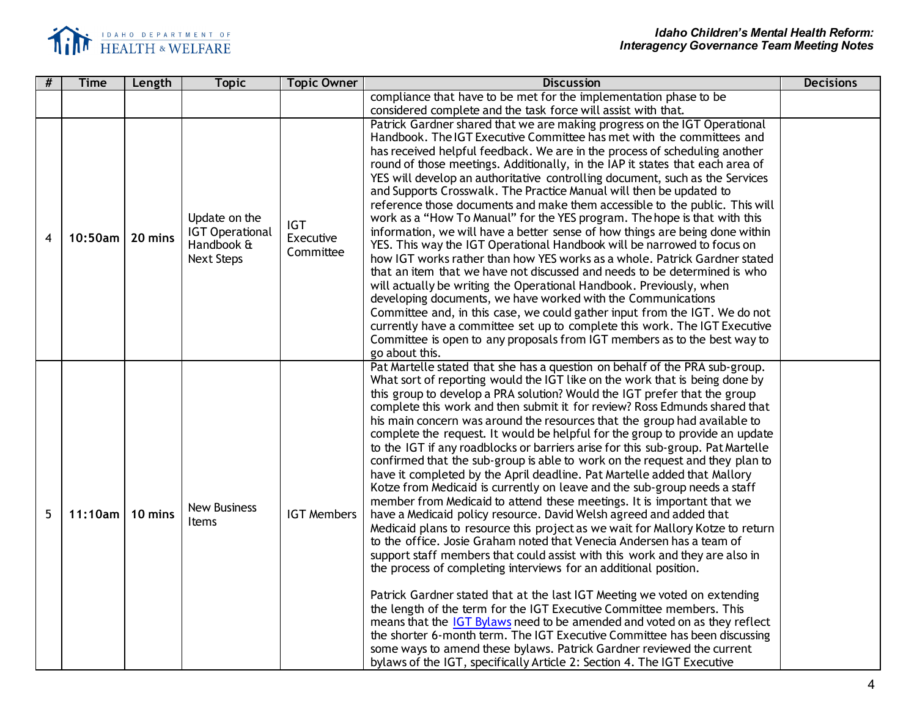

| #                | <b>Time</b> | Length  | <b>Topic</b>                                                               | <b>Topic Owner</b>                   | <b>Discussion</b>                                                                                                                                                                                                                                                                                                                                                                                                                                                                                                                                                                                                                                                                                                                                                                                                                                                                                                                                                                                                                                                                                                                                                                                                                                                                                                                                                                                                                                                                                                                                                                                                                                                                                                                               | <b>Decisions</b> |
|------------------|-------------|---------|----------------------------------------------------------------------------|--------------------------------------|-------------------------------------------------------------------------------------------------------------------------------------------------------------------------------------------------------------------------------------------------------------------------------------------------------------------------------------------------------------------------------------------------------------------------------------------------------------------------------------------------------------------------------------------------------------------------------------------------------------------------------------------------------------------------------------------------------------------------------------------------------------------------------------------------------------------------------------------------------------------------------------------------------------------------------------------------------------------------------------------------------------------------------------------------------------------------------------------------------------------------------------------------------------------------------------------------------------------------------------------------------------------------------------------------------------------------------------------------------------------------------------------------------------------------------------------------------------------------------------------------------------------------------------------------------------------------------------------------------------------------------------------------------------------------------------------------------------------------------------------------|------------------|
|                  |             |         |                                                                            |                                      | compliance that have to be met for the implementation phase to be                                                                                                                                                                                                                                                                                                                                                                                                                                                                                                                                                                                                                                                                                                                                                                                                                                                                                                                                                                                                                                                                                                                                                                                                                                                                                                                                                                                                                                                                                                                                                                                                                                                                               |                  |
|                  |             |         |                                                                            |                                      | considered complete and the task force will assist with that.                                                                                                                                                                                                                                                                                                                                                                                                                                                                                                                                                                                                                                                                                                                                                                                                                                                                                                                                                                                                                                                                                                                                                                                                                                                                                                                                                                                                                                                                                                                                                                                                                                                                                   |                  |
| $\boldsymbol{4}$ | $10:50$ am  | 20 mins | Update on the<br><b>IGT Operational</b><br>Handbook &<br><b>Next Steps</b> | <b>IGT</b><br>Executive<br>Committee | Patrick Gardner shared that we are making progress on the IGT Operational<br>Handbook. The IGT Executive Committee has met with the committees and<br>has received helpful feedback. We are in the process of scheduling another<br>round of those meetings. Additionally, in the IAP it states that each area of<br>YES will develop an authoritative controlling document, such as the Services<br>and Supports Crosswalk. The Practice Manual will then be updated to<br>reference those documents and make them accessible to the public. This will<br>work as a "How To Manual" for the YES program. The hope is that with this<br>information, we will have a better sense of how things are being done within<br>YES. This way the IGT Operational Handbook will be narrowed to focus on<br>how IGT works rather than how YES works as a whole. Patrick Gardner stated<br>that an item that we have not discussed and needs to be determined is who<br>will actually be writing the Operational Handbook. Previously, when<br>developing documents, we have worked with the Communications<br>Committee and, in this case, we could gather input from the IGT. We do not<br>currently have a committee set up to complete this work. The IGT Executive<br>Committee is open to any proposals from IGT members as to the best way to<br>go about this.                                                                                                                                                                                                                                                                                                                                                                                    |                  |
| 5                | 11:10am     | 10 mins | <b>New Business</b><br>Items                                               | <b>IGT Members</b>                   | Pat Martelle stated that she has a question on behalf of the PRA sub-group.<br>What sort of reporting would the IGT like on the work that is being done by<br>this group to develop a PRA solution? Would the IGT prefer that the group<br>complete this work and then submit it for review? Ross Edmunds shared that<br>his main concern was around the resources that the group had available to<br>complete the request. It would be helpful for the group to provide an update<br>to the IGT if any roadblocks or barriers arise for this sub-group. Pat Martelle<br>confirmed that the sub-group is able to work on the request and they plan to<br>have it completed by the April deadline. Pat Martelle added that Mallory<br>Kotze from Medicaid is currently on leave and the sub-group needs a staff<br>member from Medicaid to attend these meetings. It is important that we<br>have a Medicaid policy resource. David Welsh agreed and added that<br>Medicaid plans to resource this project as we wait for Mallory Kotze to return<br>to the office. Josie Graham noted that Venecia Andersen has a team of<br>support staff members that could assist with this work and they are also in<br>the process of completing interviews for an additional position.<br>Patrick Gardner stated that at the last IGT Meeting we voted on extending<br>the length of the term for the IGT Executive Committee members. This<br>means that the IGT Bylaws need to be amended and voted on as they reflect<br>the shorter 6-month term. The IGT Executive Committee has been discussing<br>some ways to amend these bylaws. Patrick Gardner reviewed the current<br>bylaws of the IGT, specifically Article 2: Section 4. The IGT Executive |                  |